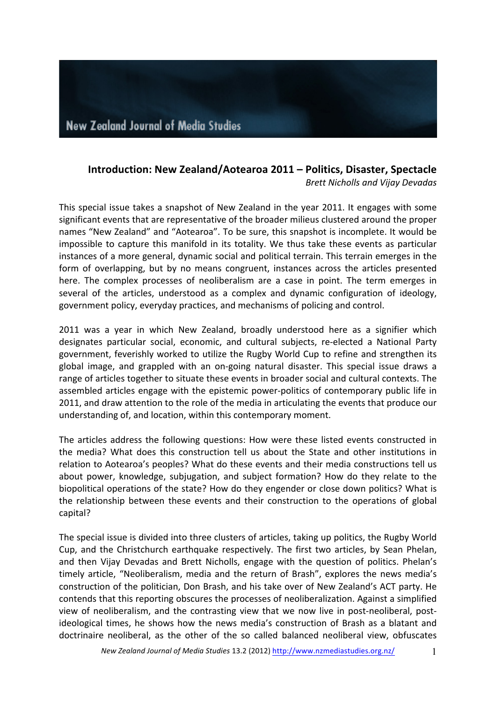## **Introduction: New Zealand/Aotearoa 2011 – Politics, Disaster, Spectacle** *Brett Nicholls and Vijay Devadas*

This special issue takes a snapshot of New Zealand in the year 2011. It engages with some significant events that are representative of the broader milieus clustered around the proper names "New Zealand" and "Aotearoa". To be sure, this snapshot is incomplete. It would be impossible to capture this manifold in its totality. We thus take these events as particular instances of a more general, dynamic social and political terrain. This terrain emerges in the form of overlapping, but by no means congruent, instances across the articles presented here. The complex processes of neoliberalism are a case in point. The term emerges in several of the articles, understood as a complex and dynamic configuration of ideology, government policy, everyday practices, and mechanisms of policing and control.

2011 was a year in which New Zealand, broadly understood here as a signifier which designates particular social, economic, and cultural subjects, re-elected a National Party government, feverishly worked to utilize the Rugby World Cup to refine and strengthen its global image, and grappled with an on-going natural disaster. This special issue draws a range of articles together to situate these events in broader social and cultural contexts. The assembled articles engage with the epistemic power-politics of contemporary public life in 2011, and draw attention to the role of the media in articulating the events that produce our understanding of, and location, within this contemporary moment.

The articles address the following questions: How were these listed events constructed in the media? What does this construction tell us about the State and other institutions in relation to Aotearoa's peoples? What do these events and their media constructions tell us about power, knowledge, subjugation, and subject formation? How do they relate to the biopolitical operations of the state? How do they engender or close down politics? What is the relationship between these events and their construction to the operations of global capital?

The special issue is divided into three clusters of articles, taking up politics, the Rugby World Cup, and the Christchurch earthquake respectively. The first two articles, by Sean Phelan, and then Vijay Devadas and Brett Nicholls, engage with the question of politics. Phelan's timely article, "Neoliberalism, media and the return of Brash", explores the news media's construction of the politician, Don Brash, and his take over of New Zealand's ACT party. He contends that this reporting obscures the processes of neoliberalization. Against a simplified view of neoliberalism, and the contrasting view that we now live in post-neoliberal, postideological times, he shows how the news media's construction of Brash as a blatant and doctrinaire neoliberal, as the other of the so called balanced neoliberal view, obfuscates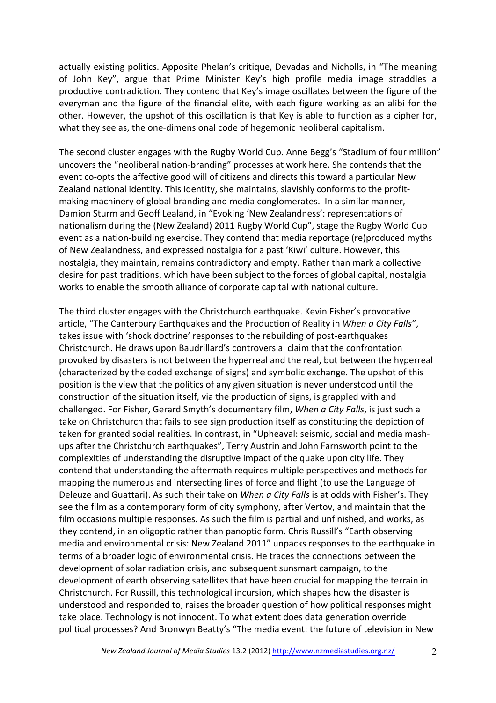actually existing politics. Apposite Phelan's critique, Devadas and Nicholls, in "The meaning of John Key", argue that Prime Minister Key's high profile media image straddles a productive contradiction. They contend that Key's image oscillates between the figure of the everyman and the figure of the financial elite, with each figure working as an alibi for the other. However, the upshot of this oscillation is that Key is able to function as a cipher for, what they see as, the one-dimensional code of hegemonic neoliberal capitalism.

The second cluster engages with the Rugby World Cup. Anne Begg's "Stadium of four million" uncovers the "neoliberal nation-branding" processes at work here. She contends that the event co-opts the affective good will of citizens and directs this toward a particular New Zealand national identity. This identity, she maintains, slavishly conforms to the profitmaking machinery of global branding and media conglomerates. In a similar manner, Damion Sturm and Geoff Lealand, in "Evoking 'New Zealandness': representations of nationalism during the (New Zealand) 2011 Rugby World Cup", stage the Rugby World Cup event as a nation-building exercise. They contend that media reportage (re)produced myths of New Zealandness, and expressed nostalgia for a past 'Kiwi' culture. However, this nostalgia, they maintain, remains contradictory and empty. Rather than mark a collective desire for past traditions, which have been subject to the forces of global capital, nostalgia works to enable the smooth alliance of corporate capital with national culture.

The third cluster engages with the Christchurch earthquake. Kevin Fisher's provocative article, "The Canterbury Earthquakes and the Production of Reality in When a City Falls", takes issue with 'shock doctrine' responses to the rebuilding of post-earthquakes Christchurch. He draws upon Baudrillard's controversial claim that the confrontation provoked by disasters is not between the hyperreal and the real, but between the hyperreal (characterized by the coded exchange of signs) and symbolic exchange. The upshot of this position is the view that the politics of any given situation is never understood until the construction of the situation itself, via the production of signs, is grappled with and challenged. For Fisher, Gerard Smyth's documentary film, *When a City Falls*, is just such a take on Christchurch that fails to see sign production itself as constituting the depiction of taken for granted social realities. In contrast, in "Upheaval: seismic, social and media mashups after the Christchurch earthquakes", Terry Austrin and John Farnsworth point to the complexities of understanding the disruptive impact of the quake upon city life. They contend that understanding the aftermath requires multiple perspectives and methods for mapping the numerous and intersecting lines of force and flight (to use the Language of Deleuze and Guattari). As such their take on *When a City Falls* is at odds with Fisher's. They see the film as a contemporary form of city symphony, after Vertov, and maintain that the film occasions multiple responses. As such the film is partial and unfinished, and works, as they contend, in an oligoptic rather than panoptic form. Chris Russill's "Earth observing media and environmental crisis: New Zealand 2011" unpacks responses to the earthquake in terms of a broader logic of environmental crisis. He traces the connections between the development of solar radiation crisis, and subsequent sunsmart campaign, to the development of earth observing satellites that have been crucial for mapping the terrain in Christchurch. For Russill, this technological incursion, which shapes how the disaster is understood and responded to, raises the broader question of how political responses might take place. Technology is not innocent. To what extent does data generation override political processes? And Bronwyn Beatty's "The media event: the future of television in New